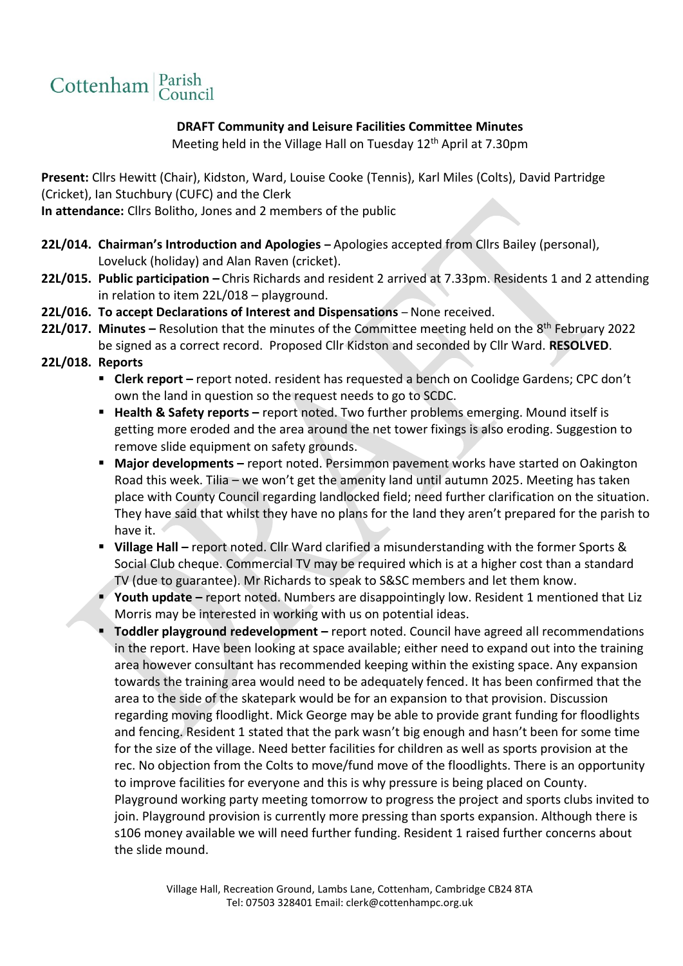

## **DRAFT Community and Leisure Facilities Committee Minutes**

Meeting held in the Village Hall on Tuesday 12<sup>th</sup> April at 7.30pm

**Present:** Cllrs Hewitt (Chair), Kidston, Ward, Louise Cooke (Tennis), Karl Miles (Colts), David Partridge (Cricket), Ian Stuchbury (CUFC) and the Clerk

**In attendance:** Cllrs Bolitho, Jones and 2 members of the public

- **22L/014. Chairman's Introduction and Apologies –** Apologies accepted from Cllrs Bailey (personal), Loveluck (holiday) and Alan Raven (cricket).
- **22L/015. Public participation –** Chris Richards and resident 2 arrived at 7.33pm. Residents 1 and 2 attending in relation to item 22L/018 – playground.
- 22L/016. To accept Declarations of Interest and Dispensations None received.
- **22L/017. Minutes -** Resolution that the minutes of the Committee meeting held on the 8<sup>th</sup> February 2022 be signed as a correct record. Proposed Cllr Kidston and seconded by Cllr Ward. **RESOLVED**.
- **22L/018. Reports**
	- **Clerk report** report noted. resident has requested a bench on Coolidge Gardens; CPC don't own the land in question so the request needs to go to SCDC.
	- **Health & Safety reports –** report noted. Two further problems emerging. Mound itself is getting more eroded and the area around the net tower fixings is also eroding. Suggestion to remove slide equipment on safety grounds.
	- Major developments report noted. Persimmon pavement works have started on Oakington Road this week. Tilia – we won't get the amenity land until autumn 2025. Meeting has taken place with County Council regarding landlocked field; need further clarification on the situation. They have said that whilst they have no plans for the land they aren't prepared for the parish to have it.
	- **Village Hall –** report noted. Cllr Ward clarified a misunderstanding with the former Sports & Social Club cheque. Commercial TV may be required which is at a higher cost than a standard TV (due to guarantee). Mr Richards to speak to S&SC members and let them know.
	- Youth update report noted. Numbers are disappointingly low. Resident 1 mentioned that Liz Morris may be interested in working with us on potential ideas.
	- **Toddler playground redevelopment –** report noted. Council have agreed all recommendations in the report. Have been looking at space available; either need to expand out into the training area however consultant has recommended keeping within the existing space. Any expansion towards the training area would need to be adequately fenced. It has been confirmed that the area to the side of the skatepark would be for an expansion to that provision. Discussion regarding moving floodlight. Mick George may be able to provide grant funding for floodlights and fencing. Resident 1 stated that the park wasn't big enough and hasn't been for some time for the size of the village. Need better facilities for children as well as sports provision at the rec. No objection from the Colts to move/fund move of the floodlights. There is an opportunity to improve facilities for everyone and this is why pressure is being placed on County. Playground working party meeting tomorrow to progress the project and sports clubs invited to join. Playground provision is currently more pressing than sports expansion. Although there is s106 money available we will need further funding. Resident 1 raised further concerns about the slide mound.